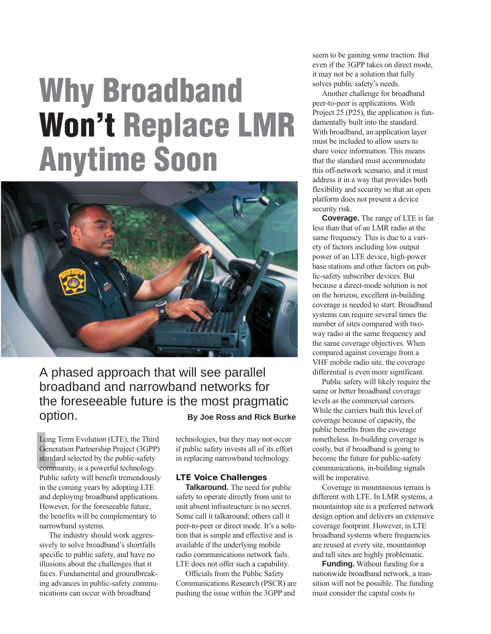# **Why Broadband Won't Replace LMR Anytime Soon**



# A phased approach that will see parallel broadband and narrowband networks for the foreseeable future is the most pragmatic option. **By Joe Ross and Rick Burke**

Long<br>Gener<br>standa Long Term Evolution (LTE), the Third Generation Partnership Project (3GPP) standard selected by the public-safety community, is a powerful technology. Public safety will benefit tremendously in the coming years by adopting LTE and deploying broadband applications. However, for the foreseeable future, the benefits will be complementary to narrowband systems.

The industry should work aggressively to solve broadband's shortfalls specific to public safety, and have no illusions about the challenges that it faces. Fundamental and groundbreaking advances in public-safety communications can occur with broadband

technologies, but they may not occur if public safety invests all of its effort in replacing narrowband technology.

## **LTE Voice Challenges**

**Talkaround.** The need for public safety to operate directly from unit to unit absent infrastructure is no secret. Some call it talkaround; others call it peer-to-peer or direct mode. It's a solution that is simple and effective and is available if the underlying mobile radio communications network fails. LTE does not offer such a capability.

Officials from the Public Safety Communications Research (PSCR) are pushing the issue within the 3GPP and

seem to be gaining some traction. But even if the 3GPP takes on direct mode, it may not be a solution that fully solves public safety's needs.

Another challenge for broadband peer-to-peer is applications. With Project 25 (P25), the application is fundamentally built into the standard. With broadband, an application layer must be included to allow users to share voice information. This means that the standard must accommodate this off-network scenario, and it must address it in a way that provides both flexibility and security so that an open platform does not present a device security risk.

**Coverage.** The range of LTE is far less than that of an LMR radio at the same frequency. This is due to a variety of factors including low output power of an LTE device, high-power base stations and other factors on public-safety subscriber devices. But because a direct-mode solution is not on the horizon, excellent in-building coverage is needed to start. Broadband systems can require several times the number of sites compared with twoway radio at the same frequency and the same coverage objectives. When compared against coverage from a VHF mobile radio site, the coverage differential is even more significant.

Public safety will likely require the same or better broadband coverage levels as the commercial carriers. While the carriers built this level of coverage because of capacity, the public benefits from the coverage nonetheless. In-building coverage is costly, but if broadband is going to become the future for public-safety communications, in-building signals will be imperative.

Coverage in mountainous terrain is different with LTE. In LMR systems, a mountaintop site is a preferred network design option and delivers an extensive coverage footprint. However, in LTE broadband systems where frequencies are reused at every site, mountaintop and tall sites are highly problematic.

**Funding.** Without funding for a nationwide broadband network, a transition will not be possible. The funding must consider the capital costs to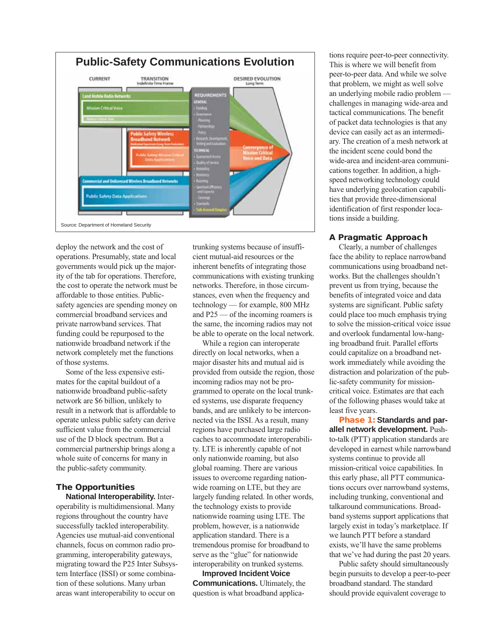

deploy the network and the cost of operations. Presumably, state and local governments would pick up the majority of the tab for operations. Therefore, the cost to operate the network must be affordable to those entities. Publicsafety agencies are spending money on commercial broadband services and private narrowband services. That funding could be repurposed to the nationwide broadband network if the network completely met the functions of those systems.

Some of the less expensive estimates for the capital buildout of a nationwide broadband public-safety network are \$6 billion, unlikely to result in a network that is affordable to operate unless public safety can derive sufficient value from the commercial use of the D block spectrum. But a commercial partnership brings along a whole suite of concerns for many in the public-safety community.

### **The Opportunities**

**National Interoperability.** Interoperability is multidimensional. Many regions throughout the country have successfully tackled interoperability. Agencies use mutual-aid conventional channels, focus on common radio programming, interoperability gateways, migrating toward the P25 Inter Subsystem Interface (ISSI) or some combination of these solutions. Many urban areas want interoperability to occur on

trunking systems because of insufficient mutual-aid resources or the inherent benefits of integrating those communications with existing trunking networks. Therefore, in those circumstances, even when the frequency and technology — for example, 800 MHz and P25 — of the incoming roamers is the same, the incoming radios may not be able to operate on the local network.

While a region can interoperate directly on local networks, when a major disaster hits and mutual aid is provided from outside the region, those incoming radios may not be programmed to operate on the local trunked systems, use disparate frequency bands, and are unlikely to be interconnected via the ISSI. As a result, many regions have purchased large radio caches to accommodate interoperability. LTE is inherently capable of not only nationwide roaming, but also global roaming. There are various issues to overcome regarding nationwide roaming on LTE, but they are largely funding related. In other words, the technology exists to provide nationwide roaming using LTE. The problem, however, is a nationwide application standard. There is a tremendous promise for broadband to serve as the "glue" for nationwide interoperability on trunked systems.

**Improved Incident Voice Communications.** Ultimately, the question is what broadband applica-

tions require peer-to-peer connectivity. This is where we will benefit from peer-to-peer data. And while we solve that problem, we might as well solve an underlying mobile radio problem challenges in managing wide-area and tactical communications. The benefit of packet data technologies is that any device can easily act as an intermediary. The creation of a mesh network at the incident scene could bond the wide-area and incident-area communications together. In addition, a highspeed networking technology could have underlying geolocation capabilities that provide three-dimensional identification of first responder locations inside a building.

#### **A Pragmatic Approach**

Clearly, a number of challenges face the ability to replace narrowband communications using broadband networks. But the challenges shouldn't prevent us from trying, because the benefits of integrated voice and data systems are significant. Public safety could place too much emphasis trying to solve the mission-critical voice issue and overlook fundamental low-hanging broadband fruit. Parallel efforts could capitalize on a broadband network immediately while avoiding the distraction and polarization of the public-safety community for missioncritical voice. Estimates are that each of the following phases would take at least five years.

**Phase 1: Standards and parallel network development.** Pushto-talk (PTT) application standards are developed in earnest while narrowband systems continue to provide all mission-critical voice capabilities. In this early phase, all PTT communications occurs over narrowband systems, including trunking, conventional and talkaround communications. Broadband systems support applications that largely exist in today's marketplace. If we launch PTT before a standard exists, we'll have the same problems that we've had during the past 20 years.

Public safety should simultaneously begin pursuits to develop a peer-to-peer broadband standard. The standard should provide equivalent coverage to